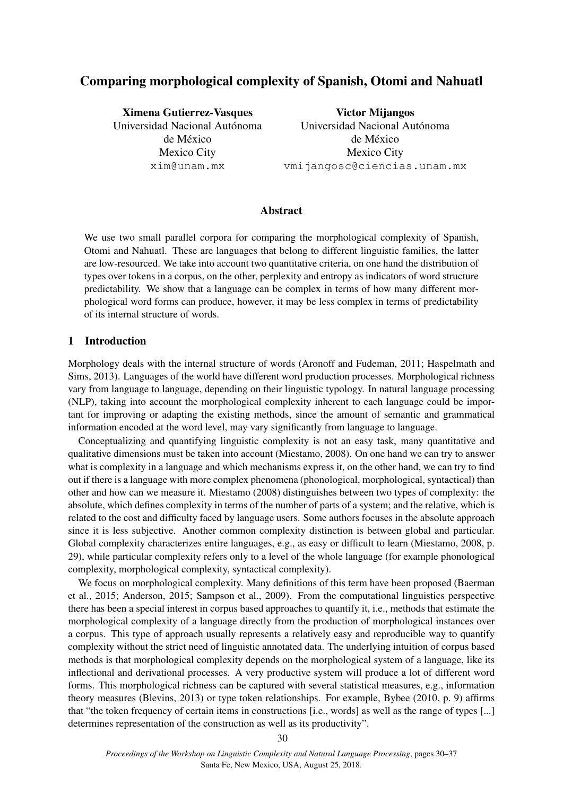# Comparing morphological complexity of Spanish, Otomi and Nahuatl

Ximena Gutierrez-Vasques Universidad Nacional Autónoma de México Mexico City xim@unam.mx

Victor Mijangos Universidad Nacional Autónoma de México Mexico City vmijangosc@ciencias.unam.mx

# Abstract

We use two small parallel corpora for comparing the morphological complexity of Spanish, Otomi and Nahuatl. These are languages that belong to different linguistic families, the latter are low-resourced. We take into account two quantitative criteria, on one hand the distribution of types over tokens in a corpus, on the other, perplexity and entropy as indicators of word structure predictability. We show that a language can be complex in terms of how many different morphological word forms can produce, however, it may be less complex in terms of predictability of its internal structure of words.

## 1 Introduction

Morphology deals with the internal structure of words (Aronoff and Fudeman, 2011; Haspelmath and Sims, 2013). Languages of the world have different word production processes. Morphological richness vary from language to language, depending on their linguistic typology. In natural language processing (NLP), taking into account the morphological complexity inherent to each language could be important for improving or adapting the existing methods, since the amount of semantic and grammatical information encoded at the word level, may vary significantly from language to language.

Conceptualizing and quantifying linguistic complexity is not an easy task, many quantitative and qualitative dimensions must be taken into account (Miestamo, 2008). On one hand we can try to answer what is complexity in a language and which mechanisms express it, on the other hand, we can try to find out if there is a language with more complex phenomena (phonological, morphological, syntactical) than other and how can we measure it. Miestamo (2008) distinguishes between two types of complexity: the absolute, which defines complexity in terms of the number of parts of a system; and the relative, which is related to the cost and difficulty faced by language users. Some authors focuses in the absolute approach since it is less subjective. Another common complexity distinction is between global and particular. Global complexity characterizes entire languages, e.g., as easy or difficult to learn (Miestamo, 2008, p. 29), while particular complexity refers only to a level of the whole language (for example phonological complexity, morphological complexity, syntactical complexity).

We focus on morphological complexity. Many definitions of this term have been proposed (Baerman et al., 2015; Anderson, 2015; Sampson et al., 2009). From the computational linguistics perspective there has been a special interest in corpus based approaches to quantify it, i.e., methods that estimate the morphological complexity of a language directly from the production of morphological instances over a corpus. This type of approach usually represents a relatively easy and reproducible way to quantify complexity without the strict need of linguistic annotated data. The underlying intuition of corpus based methods is that morphological complexity depends on the morphological system of a language, like its inflectional and derivational processes. A very productive system will produce a lot of different word forms. This morphological richness can be captured with several statistical measures, e.g., information theory measures (Blevins, 2013) or type token relationships. For example, Bybee (2010, p. 9) affirms that "the token frequency of certain items in constructions [i.e., words] as well as the range of types [...] determines representation of the construction as well as its productivity".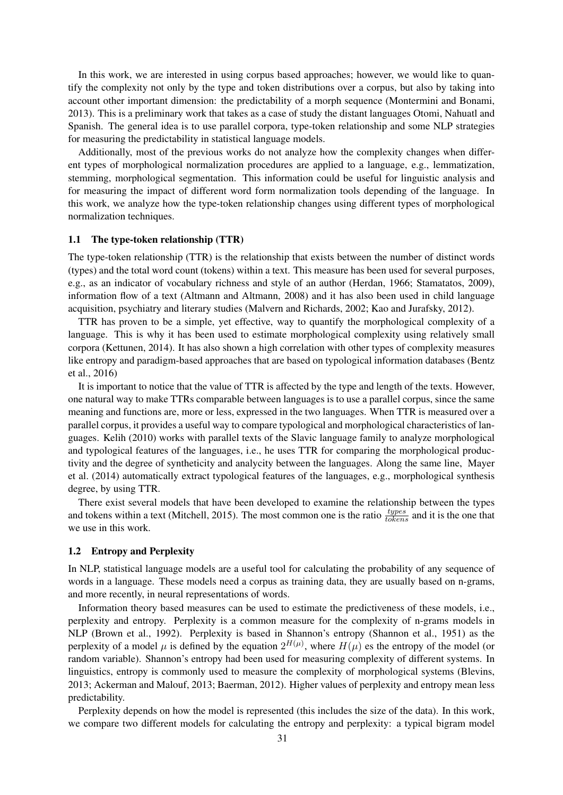In this work, we are interested in using corpus based approaches; however, we would like to quantify the complexity not only by the type and token distributions over a corpus, but also by taking into account other important dimension: the predictability of a morph sequence (Montermini and Bonami, 2013). This is a preliminary work that takes as a case of study the distant languages Otomi, Nahuatl and Spanish. The general idea is to use parallel corpora, type-token relationship and some NLP strategies for measuring the predictability in statistical language models.

Additionally, most of the previous works do not analyze how the complexity changes when different types of morphological normalization procedures are applied to a language, e.g., lemmatization, stemming, morphological segmentation. This information could be useful for linguistic analysis and for measuring the impact of different word form normalization tools depending of the language. In this work, we analyze how the type-token relationship changes using different types of morphological normalization techniques.

#### 1.1 The type-token relationship (TTR)

The type-token relationship (TTR) is the relationship that exists between the number of distinct words (types) and the total word count (tokens) within a text. This measure has been used for several purposes, e.g., as an indicator of vocabulary richness and style of an author (Herdan, 1966; Stamatatos, 2009), information flow of a text (Altmann and Altmann, 2008) and it has also been used in child language acquisition, psychiatry and literary studies (Malvern and Richards, 2002; Kao and Jurafsky, 2012).

TTR has proven to be a simple, yet effective, way to quantify the morphological complexity of a language. This is why it has been used to estimate morphological complexity using relatively small corpora (Kettunen, 2014). It has also shown a high correlation with other types of complexity measures like entropy and paradigm-based approaches that are based on typological information databases (Bentz et al., 2016)

It is important to notice that the value of TTR is affected by the type and length of the texts. However, one natural way to make TTRs comparable between languages is to use a parallel corpus, since the same meaning and functions are, more or less, expressed in the two languages. When TTR is measured over a parallel corpus, it provides a useful way to compare typological and morphological characteristics of languages. Kelih (2010) works with parallel texts of the Slavic language family to analyze morphological and typological features of the languages, i.e., he uses TTR for comparing the morphological productivity and the degree of syntheticity and analycity between the languages. Along the same line, Mayer et al. (2014) automatically extract typological features of the languages, e.g., morphological synthesis degree, by using TTR.

There exist several models that have been developed to examine the relationship between the types and tokens within a text (Mitchell, 2015). The most common one is the ratio  $\frac{types}{tokens}$  and it is the one that we use in this work.

## 1.2 Entropy and Perplexity

In NLP, statistical language models are a useful tool for calculating the probability of any sequence of words in a language. These models need a corpus as training data, they are usually based on n-grams, and more recently, in neural representations of words.

Information theory based measures can be used to estimate the predictiveness of these models, i.e., perplexity and entropy. Perplexity is a common measure for the complexity of n-grams models in NLP (Brown et al., 1992). Perplexity is based in Shannon's entropy (Shannon et al., 1951) as the perplexity of a model  $\mu$  is defined by the equation  $2^{H(\mu)}$ , where  $H(\mu)$  es the entropy of the model (or random variable). Shannon's entropy had been used for measuring complexity of different systems. In linguistics, entropy is commonly used to measure the complexity of morphological systems (Blevins, 2013; Ackerman and Malouf, 2013; Baerman, 2012). Higher values of perplexity and entropy mean less predictability.

Perplexity depends on how the model is represented (this includes the size of the data). In this work, we compare two different models for calculating the entropy and perplexity: a typical bigram model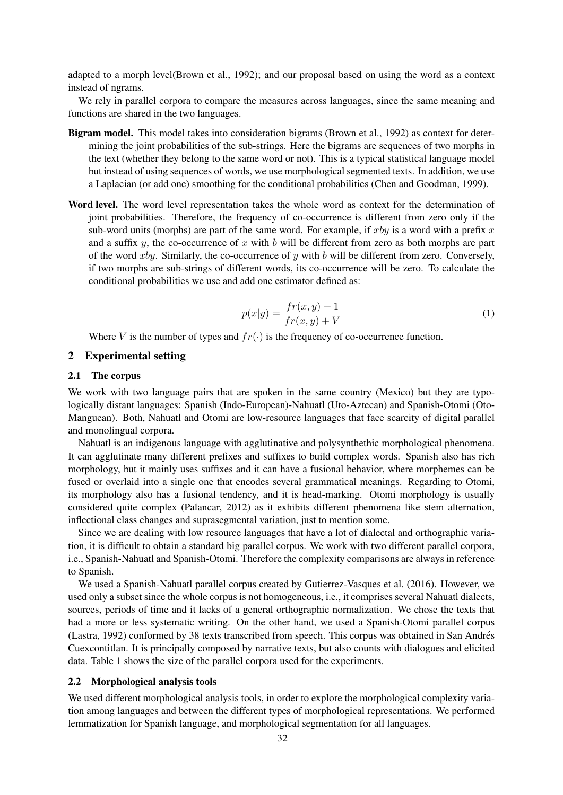adapted to a morph level(Brown et al., 1992); and our proposal based on using the word as a context instead of ngrams.

We rely in parallel corpora to compare the measures across languages, since the same meaning and functions are shared in the two languages.

- Bigram model. This model takes into consideration bigrams (Brown et al., 1992) as context for determining the joint probabilities of the sub-strings. Here the bigrams are sequences of two morphs in the text (whether they belong to the same word or not). This is a typical statistical language model but instead of using sequences of words, we use morphological segmented texts. In addition, we use a Laplacian (or add one) smoothing for the conditional probabilities (Chen and Goodman, 1999).
- Word level. The word level representation takes the whole word as context for the determination of joint probabilities. Therefore, the frequency of co-occurrence is different from zero only if the sub-word units (morphs) are part of the same word. For example, if  $xby$  is a word with a prefix  $x$ and a suffix  $y$ , the co-occurrence of  $x$  with  $b$  will be different from zero as both morphs are part of the word  $xby$ . Similarly, the co-occurrence of y with b will be different from zero. Conversely, if two morphs are sub-strings of different words, its co-occurrence will be zero. To calculate the conditional probabilities we use and add one estimator defined as:

$$
p(x|y) = \frac{fr(x, y) + 1}{fr(x, y) + V}
$$
 (1)

Where V is the number of types and  $fr(\cdot)$  is the frequency of co-occurrence function.

# 2 Experimental setting

#### 2.1 The corpus

We work with two language pairs that are spoken in the same country (Mexico) but they are typologically distant languages: Spanish (Indo-European)-Nahuatl (Uto-Aztecan) and Spanish-Otomi (Oto-Manguean). Both, Nahuatl and Otomi are low-resource languages that face scarcity of digital parallel and monolingual corpora.

Nahuatl is an indigenous language with agglutinative and polysynthethic morphological phenomena. It can agglutinate many different prefixes and suffixes to build complex words. Spanish also has rich morphology, but it mainly uses suffixes and it can have a fusional behavior, where morphemes can be fused or overlaid into a single one that encodes several grammatical meanings. Regarding to Otomi, its morphology also has a fusional tendency, and it is head-marking. Otomi morphology is usually considered quite complex (Palancar, 2012) as it exhibits different phenomena like stem alternation, inflectional class changes and suprasegmental variation, just to mention some.

Since we are dealing with low resource languages that have a lot of dialectal and orthographic variation, it is difficult to obtain a standard big parallel corpus. We work with two different parallel corpora, i.e., Spanish-Nahuatl and Spanish-Otomi. Therefore the complexity comparisons are always in reference to Spanish.

We used a Spanish-Nahuatl parallel corpus created by Gutierrez-Vasques et al. (2016). However, we used only a subset since the whole corpus is not homogeneous, i.e., it comprises several Nahuatl dialects, sources, periods of time and it lacks of a general orthographic normalization. We chose the texts that had a more or less systematic writing. On the other hand, we used a Spanish-Otomi parallel corpus (Lastra, 1992) conformed by 38 texts transcribed from speech. This corpus was obtained in San Andres´ Cuexcontitlan. It is principally composed by narrative texts, but also counts with dialogues and elicited data. Table 1 shows the size of the parallel corpora used for the experiments.

#### 2.2 Morphological analysis tools

We used different morphological analysis tools, in order to explore the morphological complexity variation among languages and between the different types of morphological representations. We performed lemmatization for Spanish language, and morphological segmentation for all languages.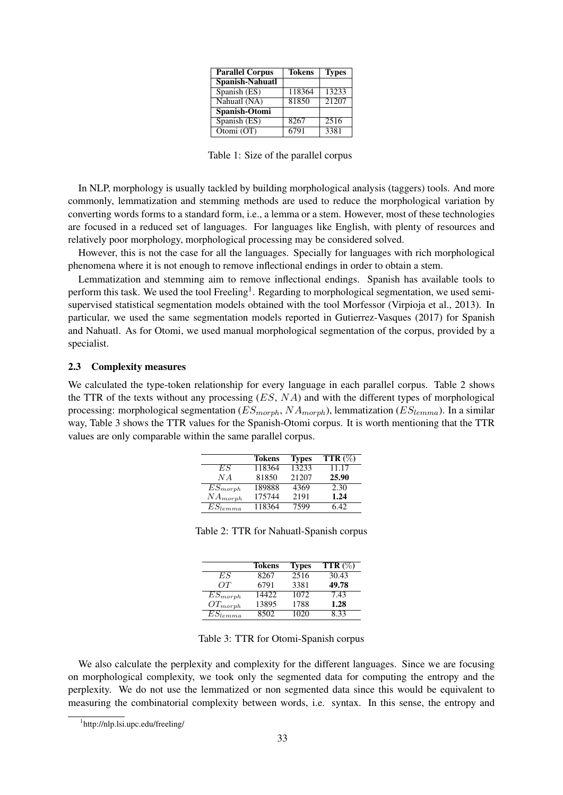| <b>Parallel Corpus</b>          | <b>Tokens</b> | <b>Types</b>      |
|---------------------------------|---------------|-------------------|
| <b>Spanish-Nahuatl</b>          |               |                   |
| Spanish (ES)                    | 118364        | 13233             |
| Nahuatl (NA)                    | 81850         | 21207             |
| Spanish-Otomi                   |               |                   |
| $\overline{\text{Spanish}(ES)}$ | 8267          | $\overline{25}16$ |
| Otomi $(OT)$                    | 6791          | 3381              |

Table 1: Size of the parallel corpus

In NLP, morphology is usually tackled by building morphological analysis (taggers) tools. And more commonly, lemmatization and stemming methods are used to reduce the morphological variation by converting words forms to a standard form, i.e., a lemma or a stem. However, most of these technologies are focused in a reduced set of languages. For languages like English, with plenty of resources and relatively poor morphology, morphological processing may be considered solved.

However, this is not the case for all the languages. Specially for languages with rich morphological phenomena where it is not enough to remove inflectional endings in order to obtain a stem.

Lemmatization and stemming aim to remove inflectional endings. Spanish has available tools to perform this task. We used the tool Freeling<sup>1</sup>. Regarding to morphological segmentation, we used semisupervised statistical segmentation models obtained with the tool Morfessor (Virpioja et al., 2013). In particular, we used the same segmentation models reported in Gutierrez-Vasques (2017) for Spanish and Nahuatl. As for Otomi, we used manual morphological segmentation of the corpus, provided by a specialist.

## 2.3 Complexity measures

We calculated the type-token relationship for every language in each parallel corpus. Table 2 shows the TTR of the texts without any processing  $(ES, NA)$  and with the different types of morphological processing: morphological segmentation ( $ES_{morph}$ ,  $NA_{morph}$ ), lemmatization ( $ES_{lemma}$ ). In a similar way, Table 3 shows the TTR values for the Spanish-Otomi corpus. It is worth mentioning that the TTR values are only comparable within the same parallel corpus.

|                         | <b>Tokens</b> | <b>Types</b> | <b>TTR</b> $(\%)$ |
|-------------------------|---------------|--------------|-------------------|
| ES                      | 118364        | 13233        | 11.17             |
| N A                     | 81850         | 21207        | 25.90             |
| $ES_{morph}$            | 189888        | 4369         | 2.30              |
| $NA_{morph}$            | 175744        | 2191         | 1.24              |
| $\overline{E}S_{lemma}$ | 118364        | 7599         | 642               |

Table 2: TTR for Nahuatl-Spanish corpus

|              | <b>Tokens</b>     | <b>Types</b> | TTR $(\%)$ |
|--------------|-------------------|--------------|------------|
| ES           | $82\overline{67}$ | 2516         | 30.43      |
| OΤ           | 6791              | 3381         | 49.78      |
| $ES_{morph}$ | 14422             | 1072         | 7.43       |
| $OT_{morph}$ | 13895             | 1788         | 1.28       |
| $ES_{lemma}$ | 8502              | 1020         | 8.33       |

Table 3: TTR for Otomi-Spanish corpus

We also calculate the perplexity and complexity for the different languages. Since we are focusing on morphological complexity, we took only the segmented data for computing the entropy and the perplexity. We do not use the lemmatized or non segmented data since this would be equivalent to measuring the combinatorial complexity between words, i.e. syntax. In this sense, the entropy and

<sup>1</sup> http://nlp.lsi.upc.edu/freeling/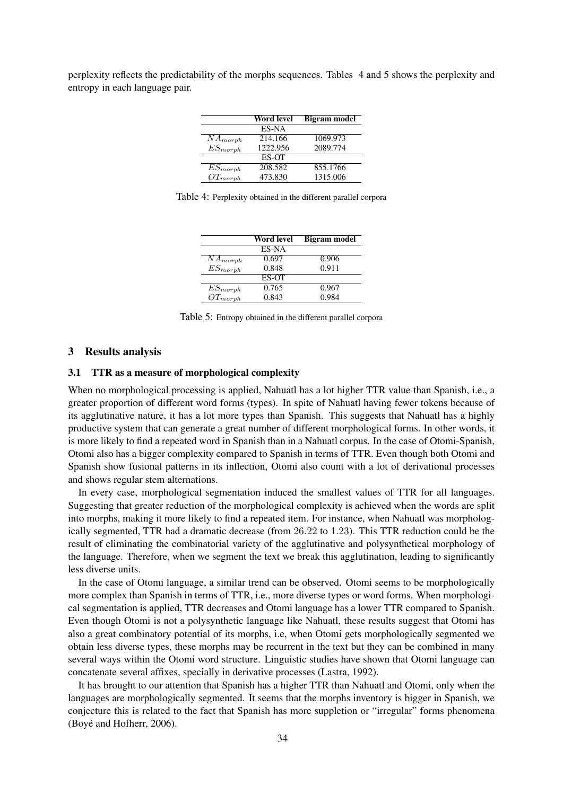perplexity reflects the predictability of the morphs sequences. Tables 4 and 5 shows the perplexity and entropy in each language pair.

|                         | Word level | <b>Bigram</b> model |
|-------------------------|------------|---------------------|
|                         | ES-NA      |                     |
| $\overline{N}A_{morph}$ | 214.166    | 1069.973            |
| $ES_{morph}$            | 1222.956   | 2089.774            |
|                         | ES-OT      |                     |
| $\overline{ES}_{morph}$ | 208.582    | 855.1766            |
| $OT_{morph}$            | 473.830    | 1315.006            |

Table 4: Perplexity obtained in the different parallel corpora

|                         | Word level   | <b>Bigram</b> model |
|-------------------------|--------------|---------------------|
|                         | ES-NA        |                     |
| $\overline{N}A_{morph}$ | 0.697        | 0.906               |
| $ES_{morph}$            | 0.848        | 0.911               |
|                         | <b>ES-OT</b> |                     |
| $ES_{morph}$            | 0.765        | 0.967               |
| $OT_{morph}$            | 0.843        | 0.984               |

Table 5: Entropy obtained in the different parallel corpora

### 3 Results analysis

## 3.1 TTR as a measure of morphological complexity

When no morphological processing is applied, Nahuatl has a lot higher TTR value than Spanish, i.e., a greater proportion of different word forms (types). In spite of Nahuatl having fewer tokens because of its agglutinative nature, it has a lot more types than Spanish. This suggests that Nahuatl has a highly productive system that can generate a great number of different morphological forms. In other words, it is more likely to find a repeated word in Spanish than in a Nahuatl corpus. In the case of Otomi-Spanish, Otomi also has a bigger complexity compared to Spanish in terms of TTR. Even though both Otomi and Spanish show fusional patterns in its inflection, Otomi also count with a lot of derivational processes and shows regular stem alternations.

In every case, morphological segmentation induced the smallest values of TTR for all languages. Suggesting that greater reduction of the morphological complexity is achieved when the words are split into morphs, making it more likely to find a repeated item. For instance, when Nahuatl was morphologically segmented, TTR had a dramatic decrease (from 26.22 to 1.23). This TTR reduction could be the result of eliminating the combinatorial variety of the agglutinative and polysynthetical morphology of the language. Therefore, when we segment the text we break this agglutination, leading to significantly less diverse units.

In the case of Otomi language, a similar trend can be observed. Otomi seems to be morphologically more complex than Spanish in terms of TTR, i.e., more diverse types or word forms. When morphological segmentation is applied, TTR decreases and Otomi language has a lower TTR compared to Spanish. Even though Otomi is not a polysynthetic language like Nahuatl, these results suggest that Otomi has also a great combinatory potential of its morphs, i.e, when Otomi gets morphologically segmented we obtain less diverse types, these morphs may be recurrent in the text but they can be combined in many several ways within the Otomi word structure. Linguistic studies have shown that Otomi language can concatenate several affixes, specially in derivative processes (Lastra, 1992).

It has brought to our attention that Spanish has a higher TTR than Nahuatl and Otomi, only when the languages are morphologically segmented. It seems that the morphs inventory is bigger in Spanish, we conjecture this is related to the fact that Spanish has more suppletion or "irregular" forms phenomena (Boyé and Hofherr, 2006).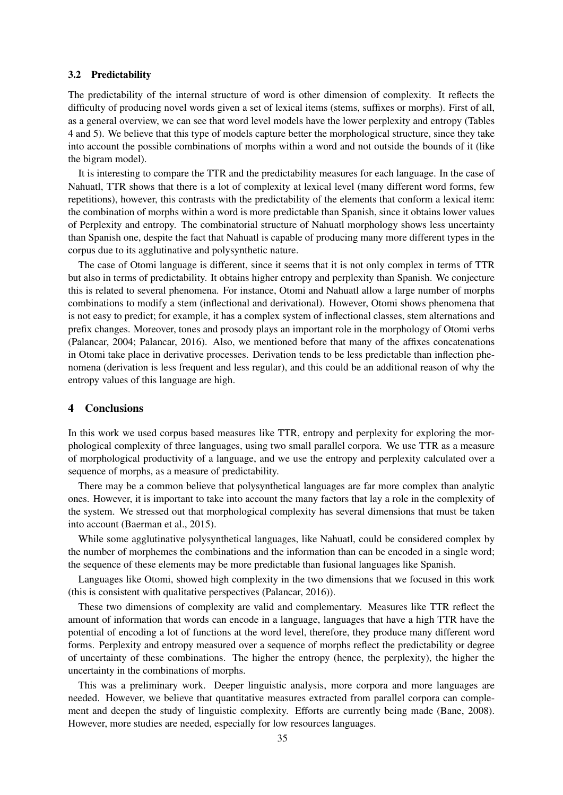## 3.2 Predictability

The predictability of the internal structure of word is other dimension of complexity. It reflects the difficulty of producing novel words given a set of lexical items (stems, suffixes or morphs). First of all, as a general overview, we can see that word level models have the lower perplexity and entropy (Tables 4 and 5). We believe that this type of models capture better the morphological structure, since they take into account the possible combinations of morphs within a word and not outside the bounds of it (like the bigram model).

It is interesting to compare the TTR and the predictability measures for each language. In the case of Nahuatl, TTR shows that there is a lot of complexity at lexical level (many different word forms, few repetitions), however, this contrasts with the predictability of the elements that conform a lexical item: the combination of morphs within a word is more predictable than Spanish, since it obtains lower values of Perplexity and entropy. The combinatorial structure of Nahuatl morphology shows less uncertainty than Spanish one, despite the fact that Nahuatl is capable of producing many more different types in the corpus due to its agglutinative and polysynthetic nature.

The case of Otomi language is different, since it seems that it is not only complex in terms of TTR but also in terms of predictability. It obtains higher entropy and perplexity than Spanish. We conjecture this is related to several phenomena. For instance, Otomi and Nahuatl allow a large number of morphs combinations to modify a stem (inflectional and derivational). However, Otomi shows phenomena that is not easy to predict; for example, it has a complex system of inflectional classes, stem alternations and prefix changes. Moreover, tones and prosody plays an important role in the morphology of Otomi verbs (Palancar, 2004; Palancar, 2016). Also, we mentioned before that many of the affixes concatenations in Otomi take place in derivative processes. Derivation tends to be less predictable than inflection phenomena (derivation is less frequent and less regular), and this could be an additional reason of why the entropy values of this language are high.

# 4 Conclusions

In this work we used corpus based measures like TTR, entropy and perplexity for exploring the morphological complexity of three languages, using two small parallel corpora. We use TTR as a measure of morphological productivity of a language, and we use the entropy and perplexity calculated over a sequence of morphs, as a measure of predictability.

There may be a common believe that polysynthetical languages are far more complex than analytic ones. However, it is important to take into account the many factors that lay a role in the complexity of the system. We stressed out that morphological complexity has several dimensions that must be taken into account (Baerman et al., 2015).

While some agglutinative polysynthetical languages, like Nahuatl, could be considered complex by the number of morphemes the combinations and the information than can be encoded in a single word; the sequence of these elements may be more predictable than fusional languages like Spanish.

Languages like Otomi, showed high complexity in the two dimensions that we focused in this work (this is consistent with qualitative perspectives (Palancar, 2016)).

These two dimensions of complexity are valid and complementary. Measures like TTR reflect the amount of information that words can encode in a language, languages that have a high TTR have the potential of encoding a lot of functions at the word level, therefore, they produce many different word forms. Perplexity and entropy measured over a sequence of morphs reflect the predictability or degree of uncertainty of these combinations. The higher the entropy (hence, the perplexity), the higher the uncertainty in the combinations of morphs.

This was a preliminary work. Deeper linguistic analysis, more corpora and more languages are needed. However, we believe that quantitative measures extracted from parallel corpora can complement and deepen the study of linguistic complexity. Efforts are currently being made (Bane, 2008). However, more studies are needed, especially for low resources languages.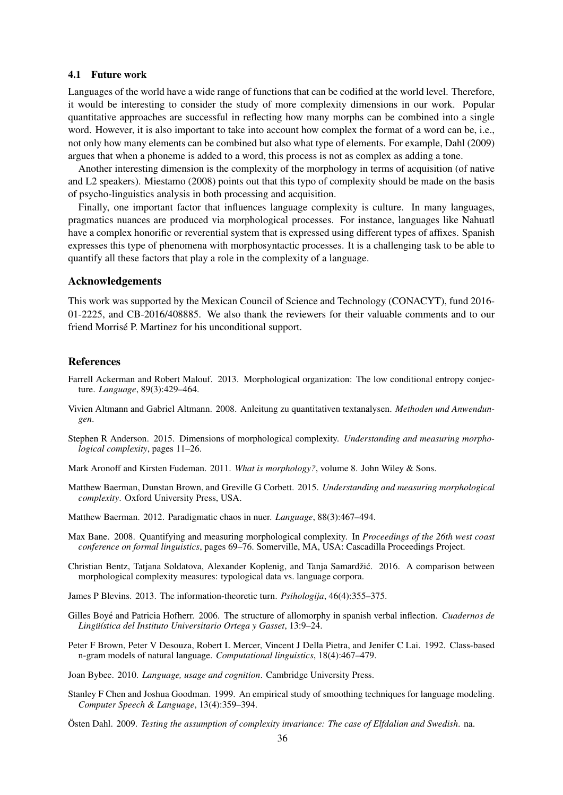### 4.1 Future work

Languages of the world have a wide range of functions that can be codified at the world level. Therefore, it would be interesting to consider the study of more complexity dimensions in our work. Popular quantitative approaches are successful in reflecting how many morphs can be combined into a single word. However, it is also important to take into account how complex the format of a word can be, i.e., not only how many elements can be combined but also what type of elements. For example, Dahl (2009) argues that when a phoneme is added to a word, this process is not as complex as adding a tone.

Another interesting dimension is the complexity of the morphology in terms of acquisition (of native and L2 speakers). Miestamo (2008) points out that this typo of complexity should be made on the basis of psycho-linguistics analysis in both processing and acquisition.

Finally, one important factor that influences language complexity is culture. In many languages, pragmatics nuances are produced via morphological processes. For instance, languages like Nahuatl have a complex honorific or reverential system that is expressed using different types of affixes. Spanish expresses this type of phenomena with morphosyntactic processes. It is a challenging task to be able to quantify all these factors that play a role in the complexity of a language.

#### Acknowledgements

This work was supported by the Mexican Council of Science and Technology (CONACYT), fund 2016- 01-2225, and CB-2016/408885. We also thank the reviewers for their valuable comments and to our friend Morrisé P. Martinez for his unconditional support.

## References

- Farrell Ackerman and Robert Malouf. 2013. Morphological organization: The low conditional entropy conjecture. *Language*, 89(3):429–464.
- Vivien Altmann and Gabriel Altmann. 2008. Anleitung zu quantitativen textanalysen. *Methoden und Anwendungen*.
- Stephen R Anderson. 2015. Dimensions of morphological complexity. *Understanding and measuring morphological complexity*, pages 11–26.
- Mark Aronoff and Kirsten Fudeman. 2011. *What is morphology?*, volume 8. John Wiley & Sons.
- Matthew Baerman, Dunstan Brown, and Greville G Corbett. 2015. *Understanding and measuring morphological complexity*. Oxford University Press, USA.
- Matthew Baerman. 2012. Paradigmatic chaos in nuer. *Language*, 88(3):467–494.
- Max Bane. 2008. Quantifying and measuring morphological complexity. In *Proceedings of the 26th west coast conference on formal linguistics*, pages 69–76. Somerville, MA, USA: Cascadilla Proceedings Project.
- Christian Bentz, Tatjana Soldatova, Alexander Koplenig, and Tanja Samardžić. 2016. A comparison between morphological complexity measures: typological data vs. language corpora.

James P Blevins. 2013. The information-theoretic turn. *Psihologija*, 46(4):355–375.

- Gilles Boyé and Patricia Hofherr. 2006. The structure of allomorphy in spanish verbal inflection. *Cuadernos de Lingu¨´ıstica del Instituto Universitario Ortega y Gasset*, 13:9–24.
- Peter F Brown, Peter V Desouza, Robert L Mercer, Vincent J Della Pietra, and Jenifer C Lai. 1992. Class-based n-gram models of natural language. *Computational linguistics*, 18(4):467–479.
- Joan Bybee. 2010. *Language, usage and cognition*. Cambridge University Press.
- Stanley F Chen and Joshua Goodman. 1999. An empirical study of smoothing techniques for language modeling. *Computer Speech & Language*, 13(4):359–394.

Östen Dahl. 2009. *Testing the assumption of complexity invariance: The case of Elfdalian and Swedish.* na.